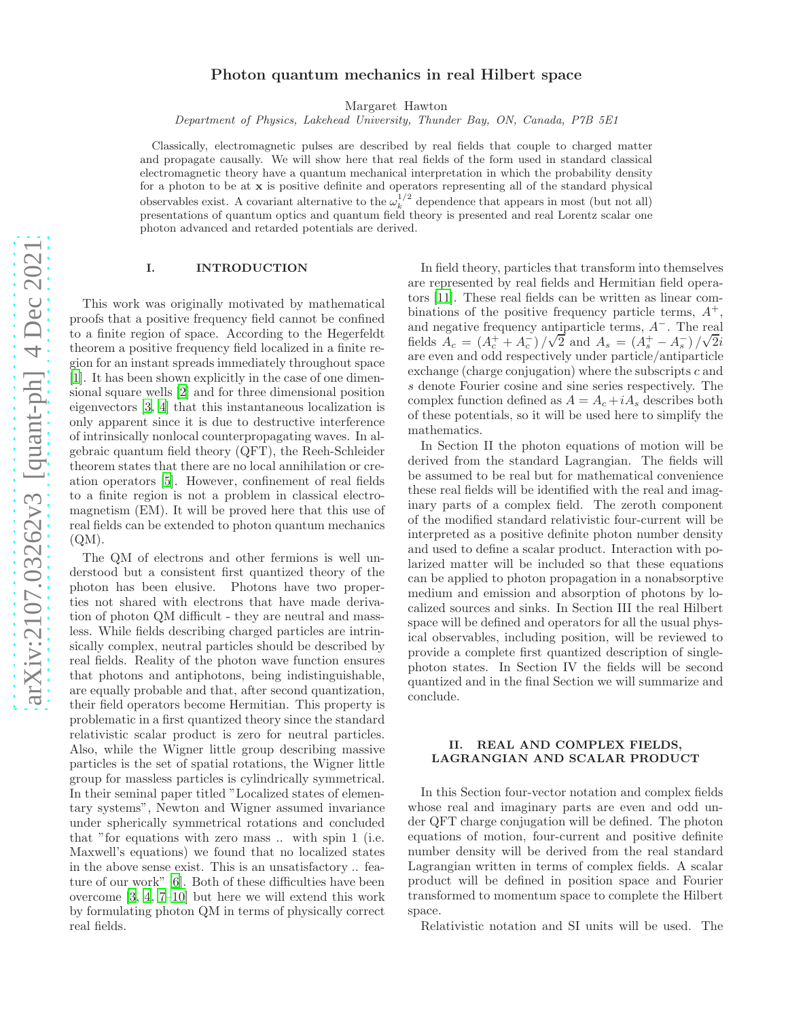# arXiv:2107.03262v3 [quant-ph] 4 Dec 2021 [arXiv:2107.03262v3 \[quant-ph\] 4 Dec 2021](http://arxiv.org/abs/2107.03262v3)

# Photon quantum mechanics in real Hilbert space

Margaret Hawton

*Department of Physics, Lakehead University, Thunder Bay, ON, Canada, P7B 5E1*

Classically, electromagnetic pulses are described by real fields that couple to charged matter and propagate causally. We will show here that real fields of the form used in standard classical electromagnetic theory have a quantum mechanical interpretation in which the probability density for a photon to be at  $x$  is positive definite and operators representing all of the standard physical observables exist. A covariant alternative to the  $\omega_k^{1/2}$  dependence that appears in most (but not all) presentations of quantum optics and quantum field theory is presented and real Lorentz scalar one photon advanced and retarded potentials are derived.

# I. INTRODUCTION

This work was originally motivated by mathematical proofs that a positive frequency field cannot be confined to a finite region of space. According to the Hegerfeldt theorem a positive frequency field localized in a finite region for an instant spreads immediately throughout space [\[1\]](#page-6-0). It has been shown explicitly in the case of one dimensional square wells [\[2\]](#page-6-1) and for three dimensional position eigenvectors [\[3,](#page-6-2) [4\]](#page-6-3) that this instantaneous localization is only apparent since it is due to destructive interference of intrinsically nonlocal counterpropagating waves. In algebraic quantum field theory (QFT), the Reeh-Schleider theorem states that there are no local annihilation or creation operators [\[5\]](#page-6-4). However, confinement of real fields to a finite region is not a problem in classical electromagnetism (EM). It will be proved here that this use of real fields can be extended to photon quantum mechanics  $(QM)$ .

The QM of electrons and other fermions is well understood but a consistent first quantized theory of the photon has been elusive. Photons have two properties not shared with electrons that have made derivation of photon QM difficult - they are neutral and massless. While fields describing charged particles are intrinsically complex, neutral particles should be described by real fields. Reality of the photon wave function ensures that photons and antiphotons, being indistinguishable, are equally probable and that, after second quantization, their field operators become Hermitian. This property is problematic in a first quantized theory since the standard relativistic scalar product is zero for neutral particles. Also, while the Wigner little group describing massive particles is the set of spatial rotations, the Wigner little group for massless particles is cylindrically symmetrical. In their seminal paper titled "Localized states of elementary systems", Newton and Wigner assumed invariance under spherically symmetrical rotations and concluded that "for equations with zero mass .. with spin 1 (i.e. Maxwell's equations) we found that no localized states in the above sense exist. This is an unsatisfactory .. fea-ture of our work" [\[6](#page-6-5)]. Both of these difficulties have been overcome [\[3,](#page-6-2) [4](#page-6-3), [7](#page-6-6)[–10\]](#page-6-7) but here we will extend this work by formulating photon QM in terms of physically correct real fields.

In field theory, particles that transform into themselves are represented by real fields and Hermitian field operators [\[11\]](#page-6-8). These real fields can be written as linear combinations of the positive frequency particle terms,  $A^+$ , and negative frequency antiparticle terms, A−. The real fields  $A_c = (A_c^+ + A_c^-)/\sqrt{2}$  and  $A_s = (A_s^+ - A_s^-)/\sqrt{2}i$ are even and odd respectively under particle/antiparticle exchange (charge conjugation) where the subscripts c and s denote Fourier cosine and sine series respectively. The complex function defined as  $A = A_c + iA_s$  describes both of these potentials, so it will be used here to simplify the mathematics.

In Section II the photon equations of motion will be derived from the standard Lagrangian. The fields will be assumed to be real but for mathematical convenience these real fields will be identified with the real and imaginary parts of a complex field. The zeroth component of the modified standard relativistic four-current will be interpreted as a positive definite photon number density and used to define a scalar product. Interaction with polarized matter will be included so that these equations can be applied to photon propagation in a nonabsorptive medium and emission and absorption of photons by localized sources and sinks. In Section III the real Hilbert space will be defined and operators for all the usual physical observables, including position, will be reviewed to provide a complete first quantized description of singlephoton states. In Section IV the fields will be second quantized and in the final Section we will summarize and conclude.

# II. REAL AND COMPLEX FIELDS, LAGRANGIAN AND SCALAR PRODUCT

In this Section four-vector notation and complex fields whose real and imaginary parts are even and odd under QFT charge conjugation will be defined. The photon equations of motion, four-current and positive definite number density will be derived from the real standard Lagrangian written in terms of complex fields. A scalar product will be defined in position space and Fourier transformed to momentum space to complete the Hilbert space.

Relativistic notation and SI units will be used. The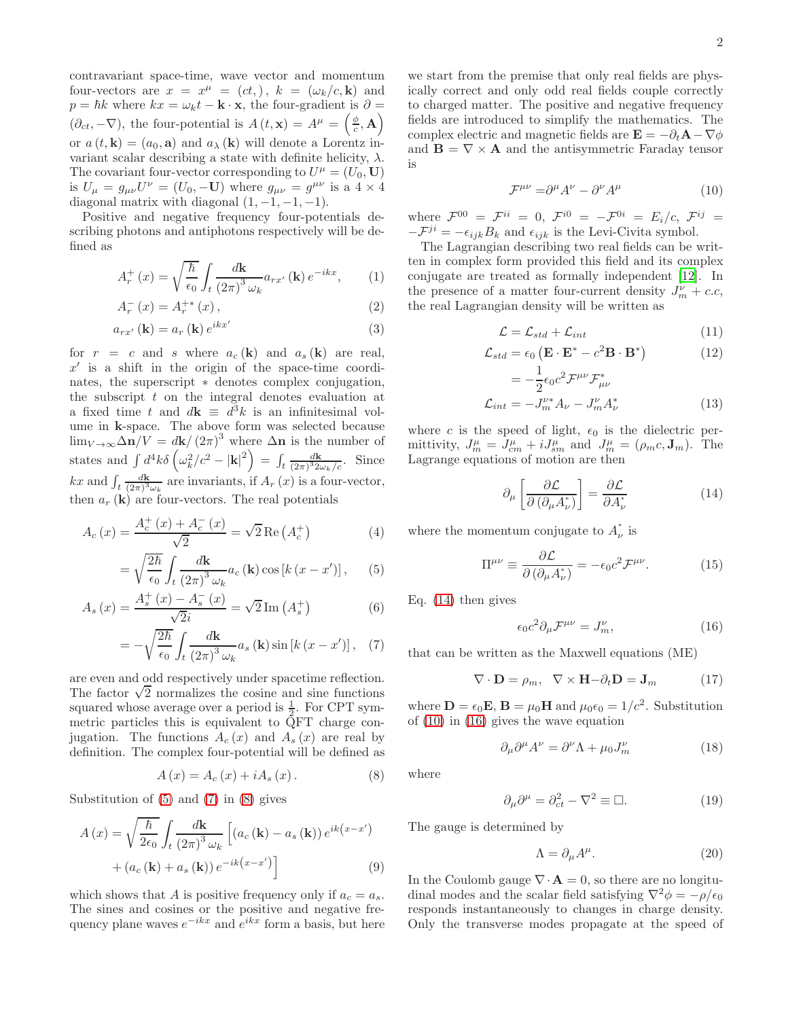contravariant space-time, wave vector and momentum four-vectors are  $x = x^{\mu} = (ct,), k = (\omega_k/c, \mathbf{k})$  and  $p = \hbar k$  where  $kx = \omega_k t - \mathbf{k} \cdot \mathbf{x}$ , the four-gradient is  $\partial =$  $(\partial_{ct}, -\nabla)$ , the four-potential is  $A(t, \mathbf{x}) = A^{\mu} = \left(\frac{\phi}{c}, \mathbf{A}\right)$ or  $a(t, \mathbf{k}) = (a_0, \mathbf{a})$  and  $a_\lambda(\mathbf{k})$  will denote a Lorentz invariant scalar describing a state with definite helicity,  $\lambda$ . The covariant four-vector corresponding to  $U^{\mu} = (U_0, \mathbf{U})$ is  $U_{\mu} = g_{\mu\nu}U^{\nu} = (U_0, -\mathbf{U})$  where  $g_{\mu\nu} = g^{\mu\nu}$  is a  $4 \times 4$ diagonal matrix with diagonal  $(1, -1, -1, -1)$ .

Positive and negative frequency four-potentials describing photons and antiphotons respectively will be defined as

$$
A_r^+(x) = \sqrt{\frac{\hbar}{\epsilon_0}} \int_t \frac{d\mathbf{k}}{(2\pi)^3 \omega_k} a_{rx'}(\mathbf{k}) e^{-ikx}, \qquad (1)
$$

$$
A_{r}^{-}(x) = A_{r}^{+*}(x), \qquad (2)
$$

$$
a_{rx'}\left(\mathbf{k}\right) = a_r\left(\mathbf{k}\right)e^{ikx'}
$$
\n(3)

for  $r = c$  and s where  $a_c(\mathbf{k})$  and  $a_s(\mathbf{k})$  are real,  $x'$  is a shift in the origin of the space-time coordinates, the superscript  $*$  denotes complex conjugation, the subscript  $t$  on the integral denotes evaluation at a fixed time t and  $d\mathbf{k} \equiv d^3k$  is an infinitesimal volume in k-space. The above form was selected because  $\lim_{V\to\infty} \Delta n/V = d\mathbf{k}/(2\pi)^3$  where  $\Delta n$  is the number of states and  $\int d^4k \delta \left(\omega_k^2/c^2 - |\mathbf{k}|^2\right) = \int_t \frac{d\mathbf{k}}{(2\pi)^3 2\omega_k/c}$ . Since kx and  $\int_t \frac{d\mathbf{k}}{(2\pi)^3}$  $\frac{d\mathbf{k}}{(2\pi)^3\omega_k}$  are invariants, if  $A_r(x)$  is a four-vector, then  $a_r(\mathbf{k})$  are four-vectors. The real potentials

$$
A_c(x) = \frac{A_c^+(x) + A_c^-(x)}{\sqrt{2}} = \sqrt{2} \operatorname{Re}(A_c^+) \tag{4}
$$

$$
= \sqrt{\frac{2\hbar}{\epsilon_0}} \int_t \frac{d\mathbf{k}}{(2\pi)^3 \omega_k} a_c(\mathbf{k}) \cos\left[k\left(x - x'\right)\right],\qquad(5)
$$

$$
A_{s}(x) = \frac{A_{s}^{+}(x) - A_{s}^{-}(x)}{\sqrt{2}i} = \sqrt{2} \operatorname{Im}(A_{s}^{+})
$$
(6)

$$
= -\sqrt{\frac{2\hbar}{\epsilon_0}} \int_t \frac{d\mathbf{k}}{(2\pi)^3 \omega_k} a_s(\mathbf{k}) \sin\left[k\left(x - x'\right)\right], \quad (7)
$$

are even and odd respectively under spacetime reflection. The factor  $\sqrt{2}$  normalizes the cosine and sine functions squared whose average over a period is  $\frac{1}{2}$ . For CPT symmetric particles this is equivalent to QFT charge conjugation. The functions  $A_c(x)$  and  $A_s(x)$  are real by definition. The complex four-potential will be defined as

<span id="page-1-2"></span>
$$
A(x) = A_c(x) + iA_s(x).
$$
 (8)

Substitution of [\(5\)](#page-1-0) and [\(7\)](#page-1-1) in [\(8\)](#page-1-2) gives

$$
A(x) = \sqrt{\frac{\hbar}{2\epsilon_0}} \int_t \frac{d\mathbf{k}}{(2\pi)^3 \omega_k} \left[ (a_c(\mathbf{k}) - a_s(\mathbf{k})) e^{ik(x-x')} + (a_c(\mathbf{k}) + a_s(\mathbf{k})) e^{-ik(x-x')} \right]
$$
(9)

which shows that A is positive frequency only if  $a_c = a_s$ . The sines and cosines or the positive and negative frequency plane waves  $e^{-ikx}$  and  $e^{ikx}$  form a basis, but here

we start from the premise that only real fields are physically correct and only odd real fields couple correctly to charged matter. The positive and negative frequency fields are introduced to simplify the mathematics. The complex electric and magnetic fields are  $\mathbf{E} = -\partial_t \mathbf{A} - \nabla \phi$ and  $\mathbf{B} = \nabla \times \mathbf{A}$  and the antisymmetric Faraday tensor is

<span id="page-1-4"></span>
$$
\mathcal{F}^{\mu\nu} = \partial^{\mu} A^{\nu} - \partial^{\nu} A^{\mu} \tag{10}
$$

where  $\mathcal{F}^{00} = \mathcal{F}^{ii} = 0$ ,  $\mathcal{F}^{i0} = -\mathcal{F}^{0i} = E_i/c$ ,  $\mathcal{F}^{ij} = \mathcal{F}^{ii}$  $-\mathcal{F}^{ji} = -\epsilon_{ijk}B_k$  and  $\epsilon_{ijk}$  is the Levi-Civita symbol.

The Lagrangian describing two real fields can be written in complex form provided this field and its complex conjugate are treated as formally independent [\[12](#page-6-9)]. In the presence of a matter four-current density  $J_m^{\nu}$  + c.c, the real Lagrangian density will be written as

$$
\mathcal{L} = \mathcal{L}_{std} + \mathcal{L}_{int} \tag{11}
$$

$$
\mathcal{L}_{std} = \epsilon_0 \left( \mathbf{E} \cdot \mathbf{E}^* - c^2 \mathbf{B} \cdot \mathbf{B}^* \right) \tag{12}
$$

$$
= -\frac{1}{2}\epsilon_0 c^2 \mathcal{F}^{\mu\nu} \mathcal{F}^*_{\mu\nu}
$$
  

$$
\mathcal{L}_{int} = -J_m^{\nu*} A_\nu - J_m^{\nu} A_\nu^*
$$
 (13)

where c is the speed of light,  $\epsilon_0$  is the dielectric permittivity,  $J_m^{\mu} = J_{cm}^{\mu} + iJ_{sm}^{\mu}$  and  $J_m^{\mu} = (\rho_m c, \mathbf{J}_m)$ . The Lagrange equations of motion are then

<span id="page-1-3"></span>
$$
\partial_{\mu} \left[ \frac{\partial \mathcal{L}}{\partial \left( \partial_{\mu} A_{\nu}^{*} \right)} \right] = \frac{\partial \mathcal{L}}{\partial A_{\nu}^{*}} \tag{14}
$$

<span id="page-1-7"></span>where the momentum conjugate to  $A^*$  $\int \limits_{\nu}$  is

$$
\Pi^{\mu\nu} \equiv \frac{\partial \mathcal{L}}{\partial \left(\partial_{\mu} A_{\nu}^{*}\right)} = -\epsilon_{0} c^{2} \mathcal{F}^{\mu\nu}.
$$
 (15)

<span id="page-1-0"></span>Eq. [\(14\)](#page-1-3) then gives

<span id="page-1-5"></span>
$$
\epsilon_0 c^2 \partial_\mu \mathcal{F}^{\mu\nu} = J_m^{\nu},\tag{16}
$$

<span id="page-1-1"></span>that can be written as the Maxwell equations (ME)

$$
\nabla \cdot \mathbf{D} = \rho_m, \quad \nabla \times \mathbf{H} - \partial_t \mathbf{D} = \mathbf{J}_m \tag{17}
$$

where  $\mathbf{D} = \epsilon_0 \mathbf{E}$ ,  $\mathbf{B} = \mu_0 \mathbf{H}$  and  $\mu_0 \epsilon_0 = 1/c^2$ . Substitution of [\(10\)](#page-1-4) in [\(16\)](#page-1-5) gives the wave equation

<span id="page-1-6"></span>
$$
\partial_{\mu}\partial^{\mu}A^{\nu} = \partial^{\nu}\Lambda + \mu_0 J_m^{\nu}
$$
 (18)

where

$$
\partial_{\mu}\partial^{\mu} = \partial_{ct}^{2} - \nabla^{2} \equiv \Box. \tag{19}
$$

The gauge is determined by

$$
\Lambda = \partial_{\mu} A^{\mu}.
$$
 (20)

In the Coulomb gauge  $\nabla \cdot \mathbf{A} = 0$ , so there are no longitudinal modes and the scalar field satisfying  $\nabla^2 \phi = -\rho/\epsilon_0$ responds instantaneously to changes in charge density. Only the transverse modes propagate at the speed of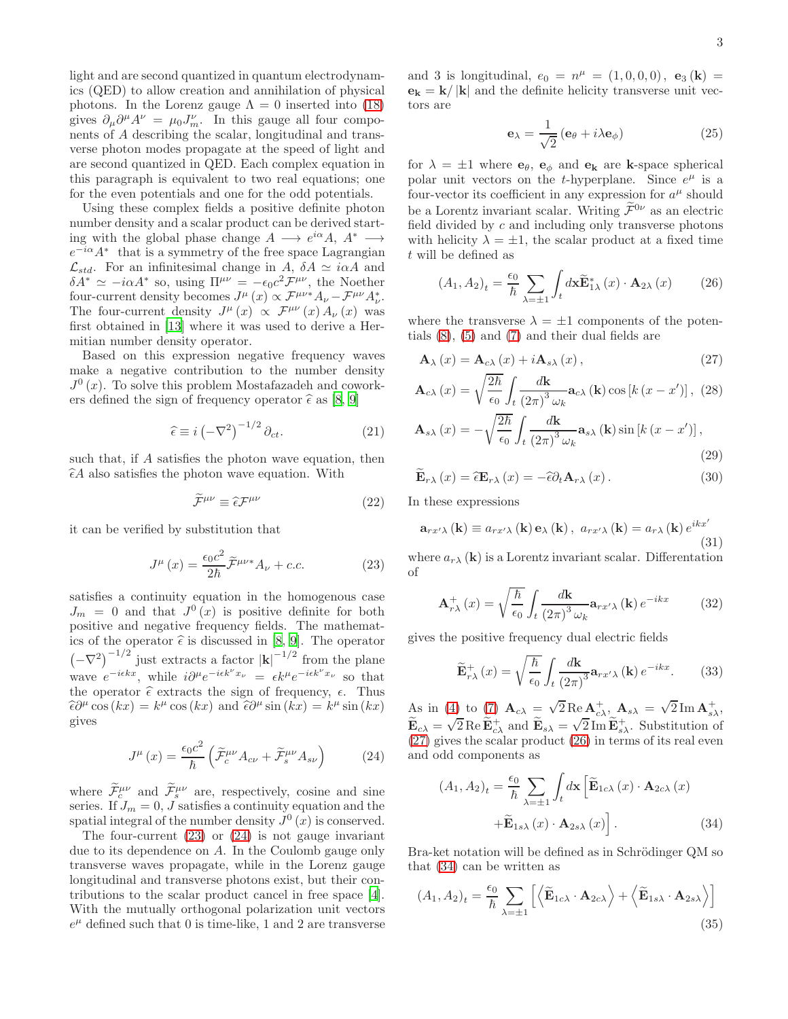light and are second quantized in quantum electrodynamics (QED) to allow creation and annihilation of physical photons. In the Lorenz gauge  $\Lambda = 0$  inserted into [\(18\)](#page-1-6) gives  $\partial_{\mu}\partial^{\mu}A^{\nu} = \mu_0 J_m^{\nu}$ . In this gauge all four components of A describing the scalar, longitudinal and transverse photon modes propagate at the speed of light and are second quantized in QED. Each complex equation in this paragraph is equivalent to two real equations; one for the even potentials and one for the odd potentials.

Using these complex fields a positive definite photon number density and a scalar product can be derived starting with the global phase change  $A \longrightarrow e^{i\alpha} A$ ,  $A^* \longrightarrow$  $e^{-i\alpha}A^*$  that is a symmetry of the free space Lagrangian  $\mathcal{L}_{std}$ . For an infinitesimal change in A,  $\delta A \simeq i\alpha A$  and  $\delta A^* \simeq -i\alpha A^*$  so, using  $\Pi^{\mu\nu} = -\epsilon_0 c^2 \mathcal{F}^{\mu\nu}$ , the Noether four-current density becomes  $J^{\mu}(x) \propto \mathcal{F}^{\mu\nu} A_{\nu} - \mathcal{F}^{\mu\nu} A_{\nu}^*$ . The four-current density  $J^{\mu}(x) \propto \mathcal{F}^{\mu\nu}(x) A_{\nu}(x)$  was first obtained in [\[13\]](#page-6-10) where it was used to derive a Hermitian number density operator.

Based on this expression negative frequency waves make a negative contribution to the number density  $J^0(x)$ . To solve this problem Mostafazadeh and coworkers defined the sign of frequency operator  $\hat{\epsilon}$  as [\[8,](#page-6-11) [9\]](#page-6-12)

$$
\hat{\epsilon} \equiv i \left( -\nabla^2 \right)^{-1/2} \partial_{ct}.
$$
\n(21)

such that, if A satisfies the photon wave equation, then  $\hat{\epsilon}A$  also satisfies the photon wave equation. With

$$
\widetilde{\mathcal{F}}^{\mu\nu} \equiv \widehat{\epsilon} \mathcal{F}^{\mu\nu} \tag{22}
$$

it can be verified by substitution that

<span id="page-2-0"></span>
$$
J^{\mu}(x) = \frac{\epsilon_0 c^2}{2\hbar} \widetilde{\mathcal{F}}^{\mu\nu*} A_{\nu} + c.c.
$$
 (23)

satisfies a continuity equation in the homogenous case  $J_m = 0$  and that  $J^0(x)$  is positive definite for both positive and negative frequency fields. The mathematics of the operator  $\hat{\epsilon}$  is discussed in [\[8](#page-6-11), [9\]](#page-6-12). The operator  $(-\nabla^2)^{-1/2}$  just extracts a factor  $|\mathbf{k}|^{-1/2}$  from the plane wave  $e^{-i\epsilon kx}$ , while  $i\partial^{\mu}e^{-i\epsilon k^{\nu}x_{\nu}} = \epsilon k^{\mu}e^{-i\epsilon k^{\nu}x_{\nu}}$  so that the operator  $\hat{\epsilon}$  extracts the sign of frequency,  $\epsilon$ . Thus  $\hat{\epsilon}\partial^{\mu}\cos(kx) = k^{\mu}\cos(kx)$  and  $\hat{\epsilon}\partial^{\mu}\sin(kx) = k^{\mu}\sin(kx)$ gives

<span id="page-2-1"></span>
$$
J^{\mu}(x) = \frac{\epsilon_0 c^2}{\hbar} \left( \widetilde{\mathcal{F}}_c^{\mu\nu} A_{c\nu} + \widetilde{\mathcal{F}}_s^{\mu\nu} A_{s\nu} \right) \tag{24}
$$

where  $\widetilde{\mathcal{F}}^{\mu\nu}_{\varepsilon}$  and  $\widetilde{\mathcal{F}}^{\mu\nu}_{s}$  are, respectively, cosine and sine series. If  $J_m = 0$ , J satisfies a continuity equation and the spatial integral of the number density  $J^0(x)$  is conserved.

The four-current  $(23)$  or  $(24)$  is not gauge invariant due to its dependence on A. In the Coulomb gauge only transverse waves propagate, while in the Lorenz gauge longitudinal and transverse photons exist, but their contributions to the scalar product cancel in free space [\[4\]](#page-6-3). With the mutually orthogonal polarization unit vectors  $e^{\mu}$  defined such that 0 is time-like, 1 and 2 are transverse

and 3 is longitudinal,  $e_0 = n^{\mu} = (1, 0, 0, 0), e_3(k) =$  $\mathbf{e_k} = \mathbf{k} / |\mathbf{k}|$  and the definite helicity transverse unit vectors are

$$
\mathbf{e}_{\lambda} = \frac{1}{\sqrt{2}} \left( \mathbf{e}_{\theta} + i \lambda \mathbf{e}_{\phi} \right) \tag{25}
$$

for  $\lambda = \pm 1$  where  $\mathbf{e}_{\theta}$ ,  $\mathbf{e}_{\phi}$  and  $\mathbf{e}_{\mathbf{k}}$  are **k**-space spherical polar unit vectors on the *t*-hyperplane. Since  $e^{\mu}$  is a four-vector its coefficient in any expression for  $a^{\mu}$  should be a Lorentz invariant scalar. Writing  $\widetilde{\mathcal{F}}^{0\nu}$  as an electric field divided by  $c$  and including only transverse photons with helicity  $\lambda = \pm 1$ , the scalar product at a fixed time t will be defined as

<span id="page-2-3"></span>
$$
(A_1, A_2)_t = \frac{\epsilon_0}{\hbar} \sum_{\lambda = \pm 1} \int_t d\mathbf{x} \widetilde{\mathbf{E}}_{1\lambda}^*(x) \cdot \mathbf{A}_{2\lambda}(x) \qquad (26)
$$

where the transverse  $\lambda = \pm 1$  components of the potentials [\(8\)](#page-1-2), [\(5\)](#page-1-0) and [\(7\)](#page-1-1) and their dual fields are

$$
\mathbf{A}_{\lambda}\left(x\right) = \mathbf{A}_{c\lambda}\left(x\right) + i\mathbf{A}_{s\lambda}\left(x\right),\tag{27}
$$

$$
\mathbf{A}_{c\lambda}(x) = \sqrt{\frac{2\hbar}{\epsilon_0}} \int_t \frac{d\mathbf{k}}{(2\pi)^3 \omega_k} \mathbf{a}_{c\lambda}(\mathbf{k}) \cos\left[k\left(x - x'\right)\right], (28)
$$

$$
\mathbf{A}_{s\lambda}(x) = -\sqrt{\frac{2\hbar}{\epsilon_0}} \int_t \frac{d\mathbf{k}}{(2\pi)^3 \omega_k} \mathbf{a}_{s\lambda}(\mathbf{k}) \sin\left[k\left(x - x'\right)\right],
$$

<span id="page-2-2"></span>
$$
(29)
$$

$$
\widetilde{\mathbf{E}}_{r\lambda}(x) = \widehat{\epsilon}\mathbf{E}_{r\lambda}(x) = -\widehat{\epsilon}\partial_t\mathbf{A}_{r\lambda}(x). \tag{30}
$$

In these expressions

$$
\mathbf{a}_{rx'\lambda}(\mathbf{k}) \equiv a_{rx'\lambda}(\mathbf{k}) \,\mathbf{e}_{\lambda}(\mathbf{k})\,,\,\, a_{rx'\lambda}(\mathbf{k}) = a_{r\lambda}(\mathbf{k})\,e^{ikx'}\tag{31}
$$

where  $a_{r\lambda}$  (k) is a Lorentz invariant scalar. Differentation of

<span id="page-2-6"></span>
$$
\mathbf{A}_{r\lambda}^{+}\left(x\right) = \sqrt{\frac{\hbar}{\epsilon_0}} \int_{t} \frac{d\mathbf{k}}{\left(2\pi\right)^3 \omega_k} \mathbf{a}_{rx'\lambda}\left(\mathbf{k}\right) e^{-ikx} \tag{32}
$$

gives the positive frequency dual electric fields

<span id="page-2-5"></span>
$$
\widetilde{\mathbf{E}}_{r\lambda}^{+}(x) = \sqrt{\frac{\hbar}{\epsilon_0}} \int_{t} \frac{d\mathbf{k}}{(2\pi)^3} \mathbf{a}_{rx'\lambda}(\mathbf{k}) e^{-ikx}.
$$
 (33)

As in [\(4\)](#page-1-7) to [\(7\)](#page-1-1)  $\mathbf{A}_{c\lambda} = \sqrt{2} \operatorname{Re} \mathbf{A}_{c\lambda}^+, \mathbf{A}_{s\lambda} = \sqrt{2} \operatorname{Im} \mathbf{A}_{s\lambda}^+,$  $\widetilde{\mathbf{E}}_{c\lambda} = \sqrt{2} \operatorname{Re} \widetilde{\mathbf{E}}_{c\lambda}^+$  and  $\widetilde{\mathbf{E}}_{s\lambda} = \sqrt{2} \operatorname{Im} \widetilde{\mathbf{E}}_{s\lambda}^+$ . Substitution of [\(27\)](#page-2-2) gives the scalar product [\(26\)](#page-2-3) in terms of its real even and odd components as

<span id="page-2-4"></span>
$$
(A_1, A_2)_t = \frac{\epsilon_0}{\hbar} \sum_{\lambda = \pm 1} \int_t d\mathbf{x} \left[ \widetilde{\mathbf{E}}_{1c\lambda} (x) \cdot \mathbf{A}_{2c\lambda} (x) + \widetilde{\mathbf{E}}_{1s\lambda} (x) \cdot \mathbf{A}_{2s\lambda} (x) \right].
$$
 (34)

Bra-ket notation will be defined as in Schrödinger QM so that [\(34\)](#page-2-4) can be written as

<span id="page-2-7"></span>
$$
(A_1, A_2)_t = \frac{\epsilon_0}{\hbar} \sum_{\lambda = \pm 1} \left[ \left\langle \widetilde{\mathbf{E}}_{1c\lambda} \cdot \mathbf{A}_{2c\lambda} \right\rangle + \left\langle \widetilde{\mathbf{E}}_{1s\lambda} \cdot \mathbf{A}_{2s\lambda} \right\rangle \right]
$$
(35)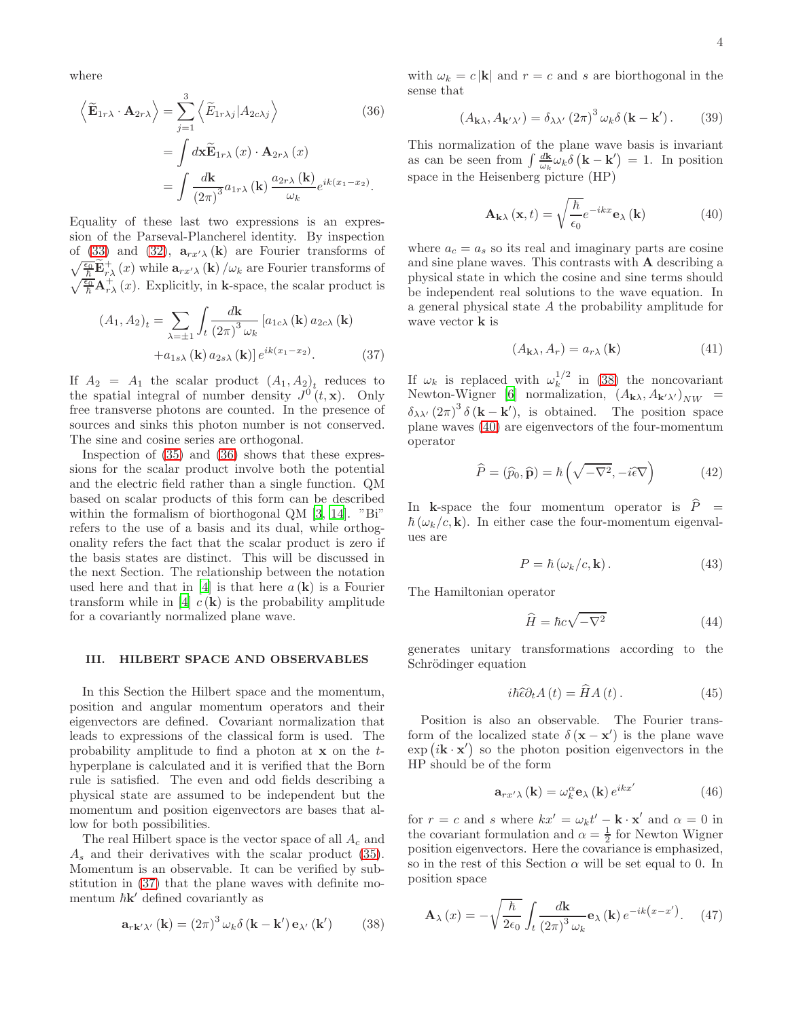where

$$
\left\langle \widetilde{\mathbf{E}}_{1r\lambda} \cdot \mathbf{A}_{2r\lambda} \right\rangle = \sum_{j=1}^{3} \left\langle \widetilde{E}_{1r\lambda j} | A_{2c\lambda j} \right\rangle
$$
(36)  

$$
= \int d\mathbf{x} \widetilde{\mathbf{E}}_{1r\lambda} (x) \cdot \mathbf{A}_{2r\lambda} (x)
$$

$$
= \int \frac{d\mathbf{k}}{(2\pi)^3} a_{1r\lambda} (\mathbf{k}) \frac{a_{2r\lambda} (\mathbf{k})}{\omega_k} e^{ik(x_1 - x_2)}.
$$

Equality of these last two expressions is an expression of the Parseval-Plancherel identity. By inspection of [\(33\)](#page-2-5) and [\(32\)](#page-2-6),  $\mathbf{a}_{rx'}\lambda(\mathbf{k})$  are Fourier transforms of  $\sqrt{\frac{\epsilon_0}{\hbar}}\widetilde{\mathbf{E}}^+_{r\lambda}(x)$  while  $\mathbf{a}_{rx'\lambda}$  (k)  $/\omega_k$  are Fourier transforms of  $\sqrt{\frac{\epsilon_0}{\hbar}}\mathbf{A}_{r\lambda}^+(x)$ . Explicitly, in k-space, the scalar product is

$$
(A_1, A_2)_t = \sum_{\lambda = \pm 1} \int_t \frac{d\mathbf{k}}{(2\pi)^3 \omega_k} \left[ a_{1c\lambda} (\mathbf{k}) a_{2c\lambda} (\mathbf{k}) \right. \left. + a_{1s\lambda} (\mathbf{k}) a_{2s\lambda} (\mathbf{k}) \right] e^{ik(x_1 - x_2)}.
$$
\n(37)

If  $A_2 = A_1$  the scalar product  $(A_1, A_2)_t$  reduces to the spatial integral of number density  $J^0(t, \mathbf{x})$ . Only free transverse photons are counted. In the presence of sources and sinks this photon number is not conserved. The sine and cosine series are orthogonal.

Inspection of [\(35\)](#page-2-7) and [\(36\)](#page-3-0) shows that these expressions for the scalar product involve both the potential and the electric field rather than a single function. QM based on scalar products of this form can be described within the formalism of biorthogonal QM [\[3](#page-6-2), [14](#page-6-13)]. "Bi" refers to the use of a basis and its dual, while orthogonality refers the fact that the scalar product is zero if the basis states are distinct. This will be discussed in the next Section. The relationship between the notation used here and that in [\[4\]](#page-6-3) is that here  $a(\mathbf{k})$  is a Fourier transform while in [\[4](#page-6-3)]  $c(\mathbf{k})$  is the probability amplitude for a covariantly normalized plane wave.

### III. HILBERT SPACE AND OBSERVABLES

In this Section the Hilbert space and the momentum, position and angular momentum operators and their eigenvectors are defined. Covariant normalization that leads to expressions of the classical form is used. The probability amplitude to find a photon at x on the thyperplane is calculated and it is verified that the Born rule is satisfied. The even and odd fields describing a physical state are assumed to be independent but the momentum and position eigenvectors are bases that allow for both possibilities.

The real Hilbert space is the vector space of all  $A_c$  and  $A<sub>s</sub>$  and their derivatives with the scalar product [\(35\)](#page-2-7). Momentum is an observable. It can be verified by substitution in [\(37\)](#page-3-1) that the plane waves with definite momentum  $\hbar \mathbf{k}'$  defined covariantly as

<span id="page-3-2"></span>
$$
\mathbf{a}_{r\mathbf{k}'\lambda'}\left(\mathbf{k}\right) = \left(2\pi\right)^3 \omega_k \delta\left(\mathbf{k} - \mathbf{k'}\right) \mathbf{e}_{\lambda'}\left(\mathbf{k'}\right) \tag{38}
$$

<span id="page-3-0"></span>with  $\omega_k = c |\mathbf{k}|$  and  $r = c$  and s are biorthogonal in the sense that

$$
(A_{\mathbf{k}\lambda}, A_{\mathbf{k}'\lambda'}) = \delta_{\lambda\lambda'} (2\pi)^3 \,\omega_k \delta\left(\mathbf{k} - \mathbf{k}'\right). \tag{39}
$$

This normalization of the plane wave basis is invariant as can be seen from  $\int \frac{d\mathbf{k}}{\omega_k} \omega_k \delta\left(\mathbf{k} - \mathbf{k}'\right) = 1$ . In position space in the Heisenberg picture (HP)

<span id="page-3-3"></span>
$$
\mathbf{A}_{\mathbf{k}\lambda}\left(\mathbf{x},t\right) = \sqrt{\frac{\hbar}{\epsilon_0}}e^{-ikx}\mathbf{e}_{\lambda}\left(\mathbf{k}\right) \tag{40}
$$

where  $a_c = a_s$  so its real and imaginary parts are cosine and sine plane waves. This contrasts with A describing a physical state in which the cosine and sine terms should be independent real solutions to the wave equation. In a general physical state A the probability amplitude for wave vector **k** is

$$
(A_{\mathbf{k}\lambda}, A_r) = a_{r\lambda}(\mathbf{k})\tag{41}
$$

<span id="page-3-1"></span>If  $\omega_k$  is replaced with  $\omega_k^{1/2}$  $\int_{k}^{1/2}$  in [\(38\)](#page-3-2) the noncovariant Newton-Wigner [\[6\]](#page-6-5) normalization,  $(A_{\mathbf{k}\lambda}, A_{\mathbf{k}'\lambda'})_{NW}$  =  $\delta_{\lambda\lambda'}(2\pi)^3 \delta(\mathbf{k}-\mathbf{k}')$ , is obtained. The position space plane waves [\(40\)](#page-3-3) are eigenvectors of the four-momentum operator

$$
\widehat{P} = (\widehat{p}_0, \widehat{\mathbf{p}}) = \hbar \left( \sqrt{-\nabla^2}, -i\widehat{\epsilon}\nabla \right)
$$
(42)

In k-space the four momentum operator is  $\hat{P}$  =  $\hbar(\omega_k/c, \mathbf{k})$ . In either case the four-momentum eigenvalues are

$$
P = \hbar \left( \omega_k / c, \mathbf{k} \right). \tag{43}
$$

The Hamiltonian operator

$$
\widehat{H} = \hbar c \sqrt{-\nabla^2} \tag{44}
$$

generates unitary transformations according to the Schrödinger equation

$$
i\hbar \widehat{\epsilon}\partial_t A(t) = \widehat{H}A(t). \tag{45}
$$

Position is also an observable. The Fourier transform of the localized state  $\delta(\mathbf{x} - \mathbf{x}')$  is the plane wave  $\exp\left(i\mathbf{k}\cdot\mathbf{x}'\right)$  so the photon position eigenvectors in the HP should be of the form

<span id="page-3-4"></span>
$$
\mathbf{a}_{rx'\lambda}\left(\mathbf{k}\right) = \omega_k^{\alpha}\mathbf{e}_{\lambda}\left(\mathbf{k}\right)e^{ikx'}\tag{46}
$$

for  $r = c$  and s where  $kx' = \omega_k t' - \mathbf{k} \cdot \mathbf{x}'$  and  $\alpha = 0$  in the covariant formulation and  $\alpha = \frac{1}{2}$  for Newton Wigner position eigenvectors. Here the covariance is emphasized, so in the rest of this Section  $\alpha$  will be set equal to 0. In position space

<span id="page-3-5"></span>
$$
\mathbf{A}_{\lambda}(x) = -\sqrt{\frac{\hbar}{2\epsilon_0}} \int_t \frac{d\mathbf{k}}{(2\pi)^3 \omega_k} \mathbf{e}_{\lambda}(\mathbf{k}) e^{-ik(x-x')}.
$$
 (47)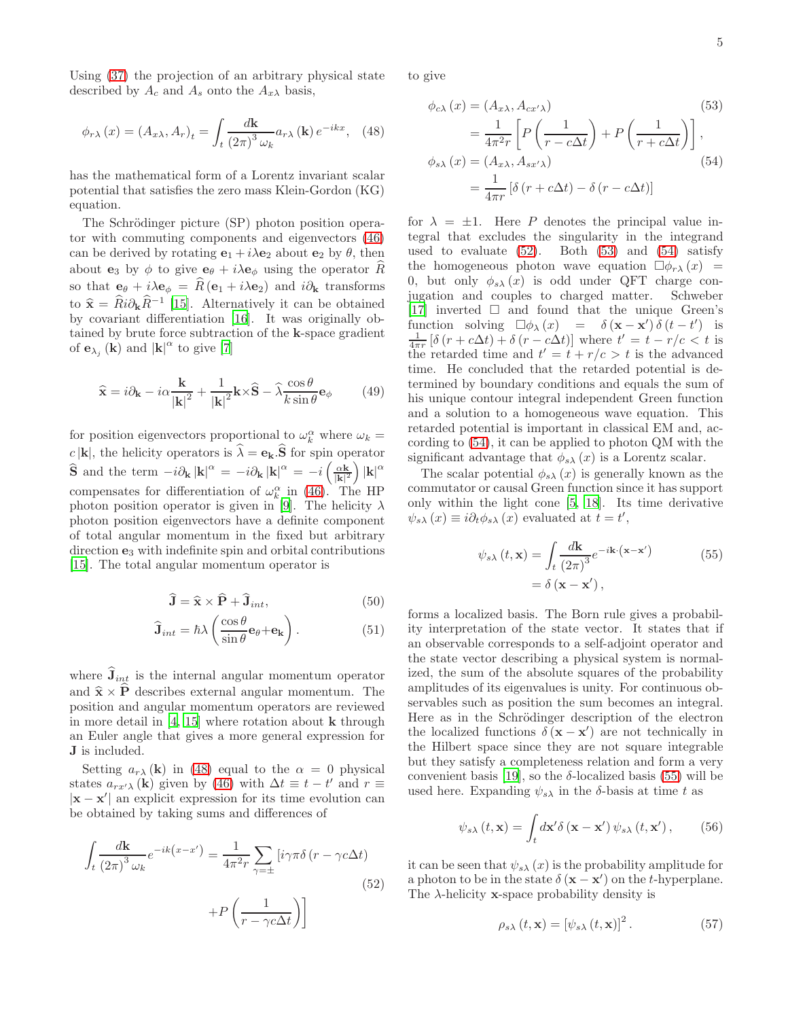Using [\(37\)](#page-3-1) the projection of an arbitrary physical state described by  $A_c$  and  $A_s$  onto the  $A_{x\lambda}$  basis,

<span id="page-4-0"></span>
$$
\phi_{r\lambda}\left(x\right) = \left(A_{x\lambda}, A_r\right)_t = \int_t \frac{d\mathbf{k}}{\left(2\pi\right)^3 \omega_k} a_{r\lambda}\left(\mathbf{k}\right) e^{-ikx}, \quad (48)
$$

has the mathematical form of a Lorentz invariant scalar potential that satisfies the zero mass Klein-Gordon (KG) equation.

The Schrödinger picture (SP) photon position operator with commuting components and eigenvectors [\(46\)](#page-3-4) can be derived by rotating  $\mathbf{e}_1 + i\lambda \mathbf{e}_2$  about  $\mathbf{e}_2$  by  $\theta$ , then about  $e_3$  by  $\phi$  to give  $e_{\theta} + i\lambda e_{\phi}$  using the operator R so that  $e_{\theta} + i\lambda e_{\phi} = \hat{R}(e_1 + i\lambda e_2)$  and  $i\partial_{k}$  transforms to  $\hat{\mathbf{x}} = \hat{R} i \partial_{\mathbf{k}} \hat{R}^{-1}$  [\[15\]](#page-6-14). Alternatively it can be obtained by covariant differentiation [\[16](#page-6-15)]. It was originally obtained by brute force subtraction of the k-space gradient of  $\mathbf{e}_{\lambda_j}(\mathbf{k})$  and  $|\mathbf{k}|^{\alpha}$  to give [\[7\]](#page-6-6)

$$
\widehat{\mathbf{x}} = i\partial_{\mathbf{k}} - i\alpha \frac{\mathbf{k}}{|\mathbf{k}|^2} + \frac{1}{|\mathbf{k}|^2} \mathbf{k} \times \widehat{\mathbf{S}} - \widehat{\lambda} \frac{\cos \theta}{k \sin \theta} \mathbf{e}_{\phi}
$$
(49)

for position eigenvectors proportional to  $\omega_k^{\alpha}$  where  $\omega_k =$  $c |\mathbf{k}|$ , the helicity operators is  $\hat{\lambda} = \mathbf{e}_{\mathbf{k}} \cdot \hat{\mathbf{S}}$  for spin operator  $\hat{\mathbf{S}}$  and the term  $-i\partial_{\mathbf{k}} |\mathbf{k}|^{\alpha} = -i\partial_{\mathbf{k}} |\mathbf{k}|^{\alpha} = -i \left(\frac{\alpha \mathbf{k}}{|\mathbf{k}|^2}\right)$  $\frac{\alpha \mathbf{k}}{|\mathbf{k}|^2}$   $|\mathbf{k}|^{\alpha}$ compensates for differentiation of  $\omega_k^{\alpha}$  in [\(46\)](#page-3-4). The HP photon position operator is given in [\[9\]](#page-6-12). The helicity  $\lambda$ photon position eigenvectors have a definite component of total angular momentum in the fixed but arbitrary direction e<sup>3</sup> with indefinite spin and orbital contributions [\[15\]](#page-6-14). The total angular momentum operator is

$$
\hat{\mathbf{J}} = \hat{\mathbf{x}} \times \hat{\mathbf{P}} + \hat{\mathbf{J}}_{int},\tag{50}
$$

$$
\hat{\mathbf{J}}_{int} = \hbar \lambda \left( \frac{\cos \theta}{\sin \theta} \mathbf{e}_{\theta} + \mathbf{e}_{\mathbf{k}} \right). \tag{51}
$$

where  $J_{int}$  is the internal angular momentum operator and  $\hat{\mathbf{x}} \times \hat{\mathbf{P}}$  describes external angular momentum. The position and angular momentum operators are reviewed in more detail in  $[4, 15]$  $[4, 15]$  where rotation about **k** through an Euler angle that gives a more general expression for J is included.

Setting  $a_{r\lambda}(\mathbf{k})$  in [\(48\)](#page-4-0) equal to the  $\alpha = 0$  physical states  $a_{rx'}\lambda$  (k) given by [\(46\)](#page-3-4) with  $\Delta t \equiv t - t'$  and  $r \equiv$  $|\mathbf{x} - \mathbf{x}'|$  an explicit expression for its time evolution can be obtained by taking sums and differences of

$$
\int_{t} \frac{d\mathbf{k}}{(2\pi)^{3} \omega_{k}} e^{-ik(x-x')} = \frac{1}{4\pi^{2}r} \sum_{\gamma=\pm} \left[ i\gamma \pi \delta \left( r - \gamma c \Delta t \right) + P \left( \frac{1}{r - \gamma c \Delta t} \right) \right]
$$
\n(52)

to give

<span id="page-4-3"></span><span id="page-4-2"></span>
$$
\phi_{c\lambda}(x) = (A_{x\lambda}, A_{cx'\lambda})
$$
\n
$$
= \frac{1}{4\pi^2 r} \left[ P\left(\frac{1}{r - c\Delta t}\right) + P\left(\frac{1}{r + c\Delta t}\right) \right],
$$
\n
$$
\phi_{s\lambda}(x) = (A_{x\lambda}, A_{sx'\lambda})
$$
\n
$$
= \frac{1}{4\pi r} \left[ \delta(r + c\Delta t) - \delta(r - c\Delta t) \right]
$$
\n(54)

for  $\lambda = \pm 1$ . Here P denotes the principal value integral that excludes the singularity in the integrand used to evaluate  $(52)$ . Both  $(53)$  and  $(54)$  satisfy the homogeneous photon wave equation  $\Box \phi_{r\lambda}(x)$  = 0, but only  $\phi_{s\lambda}(x)$  is odd under QFT charge conjugation and couples to charged matter. Schweber [\[17\]](#page-6-16) inverted  $\square$  and found that the unique Green's function solving  $\square \phi_{\lambda}(x) = \delta (\mathbf{x} - \mathbf{x}') \delta (t - t')$  is<br>  $\frac{1}{4\pi r} [\delta (r + c\Delta t) + \delta (r - c\Delta t)]$  where  $t' = t - r/c < t$  is the retarded time and  $t' = t + r/c > t$  is the advanced time. He concluded that the retarded potential is determined by boundary conditions and equals the sum of his unique contour integral independent Green function and a solution to a homogeneous wave equation. This retarded potential is important in classical EM and, according to [\(54\)](#page-4-3), it can be applied to photon QM with the significant advantage that  $\phi_{s\lambda}(x)$  is a Lorentz scalar.

The scalar potential  $\phi_{s\lambda}(x)$  is generally known as the commutator or causal Green function since it has support only within the light cone [\[5,](#page-6-4) [18](#page-6-17)]. Its time derivative  $\psi_{s\lambda}(x) \equiv i \partial_t \phi_{s\lambda}(x)$  evaluated at  $t = t'$ ,

<span id="page-4-4"></span>
$$
\psi_{s\lambda}(t, \mathbf{x}) = \int_{t} \frac{d\mathbf{k}}{(2\pi)^{3}} e^{-i\mathbf{k} \cdot (\mathbf{x} - \mathbf{x}')} \n= \delta (\mathbf{x} - \mathbf{x}'),
$$
\n(55)

forms a localized basis. The Born rule gives a probability interpretation of the state vector. It states that if an observable corresponds to a self-adjoint operator and the state vector describing a physical system is normalized, the sum of the absolute squares of the probability amplitudes of its eigenvalues is unity. For continuous observables such as position the sum becomes an integral. Here as in the Schrödinger description of the electron the localized functions  $\delta(\mathbf{x} - \mathbf{x}')$  are not technically in the Hilbert space since they are not square integrable but they satisfy a completeness relation and form a very convenient basis [\[19\]](#page-6-18), so the  $\delta$ -localized basis [\(55\)](#page-4-4) will be used here. Expanding  $\psi_{s\lambda}$  in the  $\delta$ -basis at time t as

<span id="page-4-5"></span>
$$
\psi_{s\lambda}(t, \mathbf{x}) = \int_{t} d\mathbf{x}' \delta(\mathbf{x} - \mathbf{x}') \psi_{s\lambda}(t, \mathbf{x}'), \qquad (56)
$$

<span id="page-4-1"></span>it can be seen that  $\psi_{s\lambda}(x)$  is the probability amplitude for a photon to be in the state  $\delta(\mathbf{x} - \mathbf{x}')$  on the t-hyperplane. The  $\lambda$ -helicity **x**-space probability density is

$$
\rho_{s\lambda}(t, \mathbf{x}) = [\psi_{s\lambda}(t, \mathbf{x})]^2.
$$
 (57)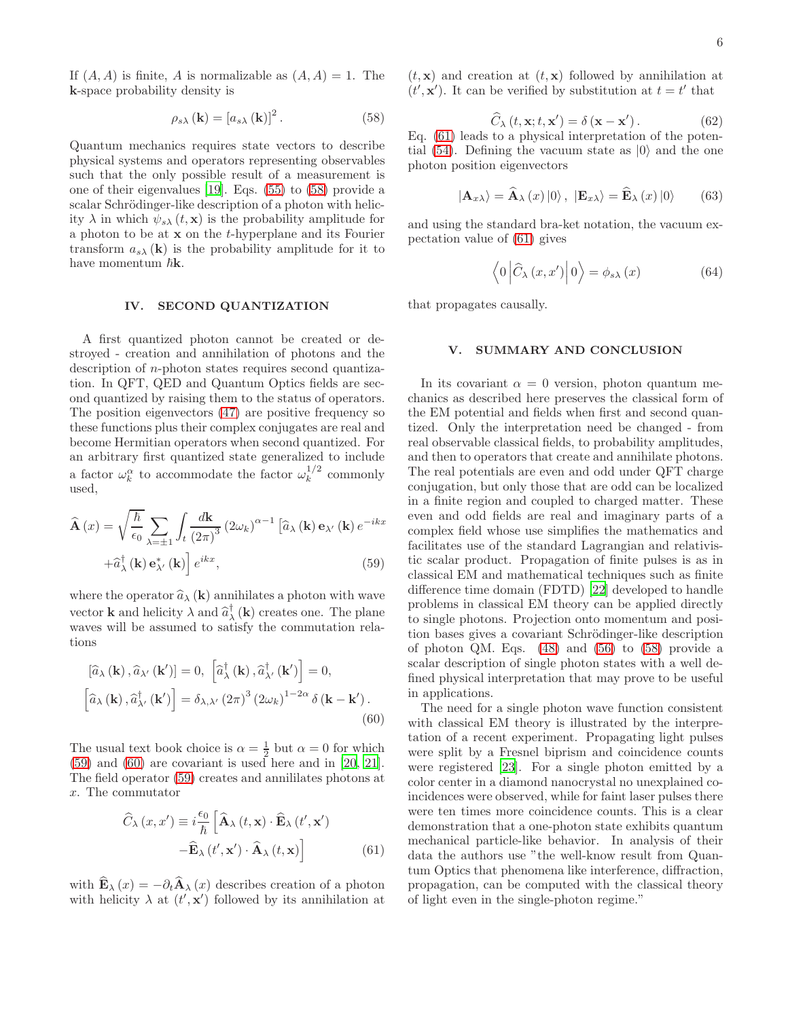If  $(A, A)$  is finite, A is normalizable as  $(A, A) = 1$ . The k-space probability density is

<span id="page-5-0"></span>
$$
\rho_{s\lambda}(\mathbf{k}) = [a_{s\lambda}(\mathbf{k})]^2.
$$
 (58)

Quantum mechanics requires state vectors to describe physical systems and operators representing observables such that the only possible result of a measurement is one of their eigenvalues [\[19\]](#page-6-18). Eqs. [\(55\)](#page-4-4) to [\(58\)](#page-5-0) provide a scalar Schrödinger-like description of a photon with helicity  $\lambda$  in which  $\psi_{s\lambda}(t, \mathbf{x})$  is the probability amplitude for a photon to be at  $x$  on the  $t$ -hyperplane and its Fourier transform  $a_{s\lambda}(\mathbf{k})$  is the probability amplitude for it to have momentum  $\hbar$ **k**.

## IV. SECOND QUANTIZATION

A first quantized photon cannot be created or destroyed - creation and annihilation of photons and the description of n-photon states requires second quantization. In QFT, QED and Quantum Optics fields are second quantized by raising them to the status of operators. The position eigenvectors [\(47\)](#page-3-5) are positive frequency so these functions plus their complex conjugates are real and become Hermitian operators when second quantized. For an arbitrary first quantized state generalized to include a factor  $\omega_k^{\alpha}$  to accommodate the factor  $\omega_k^{1/2}$  $k^{1/2}$  commonly used,

$$
\widehat{\mathbf{A}}(x) = \sqrt{\frac{\hbar}{\epsilon_0}} \sum_{\lambda = \pm 1} \int_t \frac{d\mathbf{k}}{(2\pi)^3} (2\omega_k)^{\alpha - 1} \left[ \widehat{a}_{\lambda} (\mathbf{k}) \mathbf{e}_{\lambda'} (\mathbf{k}) e^{-ikx} + \widehat{a}_{\lambda}^{\dagger} (\mathbf{k}) \mathbf{e}_{\lambda'}^{\dagger} (\mathbf{k}) \right] e^{ikx},
$$
\n(59)

where the operator  $\widehat{a}_{\lambda}(\mathbf{k})$  annihilates a photon with wave vector **k** and helicity  $\lambda$  and  $\hat{a}_{\lambda}^{\dagger}(\mathbf{k})$  creates one. The plane waves will be assumed to satisfy the commutation relations

$$
\left[\hat{a}_{\lambda}(\mathbf{k}), \hat{a}_{\lambda'}(\mathbf{k'})\right] = 0, \quad \left[\hat{a}_{\lambda}^{\dagger}(\mathbf{k}), \hat{a}_{\lambda'}^{\dagger}(\mathbf{k'})\right] = 0, \left[\hat{a}_{\lambda}(\mathbf{k}), \hat{a}_{\lambda'}^{\dagger}(\mathbf{k'})\right] = \delta_{\lambda, \lambda'}(2\pi)^{3} (2\omega_{k})^{1-2\alpha} \delta(\mathbf{k} - \mathbf{k}').
$$
\n(60)

The usual text book choice is  $\alpha = \frac{1}{2}$  but  $\alpha = 0$  for which [\(59\)](#page-5-1) and [\(60\)](#page-5-2) are covariant is used here and in [\[20](#page-6-19), [21\]](#page-6-20). The field operator [\(59\)](#page-5-1) creates and annililates photons at x. The commutator

$$
\widehat{C}_{\lambda}(x, x') \equiv i \frac{\epsilon_0}{\hbar} \left[ \widehat{\mathbf{A}}_{\lambda}(t, \mathbf{x}) \cdot \widehat{\mathbf{E}}_{\lambda}(t', \mathbf{x}') - \widehat{\mathbf{E}}_{\lambda}(t', \mathbf{x}') \cdot \widehat{\mathbf{A}}_{\lambda}(t, \mathbf{x}) \right]
$$
(61)

with  $\widehat{\mathbf{E}}_{\lambda}(x) = -\partial_t \widehat{\mathbf{A}}_{\lambda}(x)$  describes creation of a photon with helicity  $\lambda$  at  $(t', \mathbf{x}')$  followed by its annihilation at  $(t, \mathbf{x})$  and creation at  $(t, \mathbf{x})$  followed by annihilation at  $(t', \mathbf{x}')$ . It can be verified by substitution at  $t = t'$  that

$$
\widehat{C}_{\lambda}(t, \mathbf{x}; t, \mathbf{x}') = \delta(\mathbf{x} - \mathbf{x}'). \tag{62}
$$

Eq. [\(61\)](#page-5-3) leads to a physical interpretation of the poten-tial [\(54\)](#page-4-3). Defining the vacuum state as  $|0\rangle$  and the one photon position eigenvectors

$$
|\mathbf{A}_{x\lambda}\rangle = \widehat{\mathbf{A}}_{\lambda}(x)|0\rangle, \; |\mathbf{E}_{x\lambda}\rangle = \widehat{\mathbf{E}}_{\lambda}(x)|0\rangle \qquad (63)
$$

and using the standard bra-ket notation, the vacuum expectation value of [\(61\)](#page-5-3) gives

$$
\left\langle 0 \left| \widehat{C}_{\lambda} \left( x, x' \right) \right| 0 \right\rangle = \phi_{s\lambda} \left( x \right) \tag{64}
$$

that propagates causally.

### V. SUMMARY AND CONCLUSION

In its covariant  $\alpha = 0$  version, photon quantum mechanics as described here preserves the classical form of the EM potential and fields when first and second quantized. Only the interpretation need be changed - from real observable classical fields, to probability amplitudes, and then to operators that create and annihilate photons. The real potentials are even and odd under QFT charge conjugation, but only those that are odd can be localized in a finite region and coupled to charged matter. These even and odd fields are real and imaginary parts of a complex field whose use simplifies the mathematics and facilitates use of the standard Lagrangian and relativistic scalar product. Propagation of finite pulses is as in classical EM and mathematical techniques such as finite difference time domain (FDTD) [\[22\]](#page-6-21) developed to handle problems in classical EM theory can be applied directly to single photons. Projection onto momentum and position bases gives a covariant Schrödinger-like description of photon QM. Eqs. [\(48\)](#page-4-0) and [\(56\)](#page-4-5) to [\(58\)](#page-5-0) provide a scalar description of single photon states with a well defined physical interpretation that may prove to be useful in applications.

<span id="page-5-3"></span><span id="page-5-2"></span><span id="page-5-1"></span>The need for a single photon wave function consistent with classical EM theory is illustrated by the interpretation of a recent experiment. Propagating light pulses were split by a Fresnel biprism and coincidence counts were registered [\[23](#page-6-22)]. For a single photon emitted by a color center in a diamond nanocrystal no unexplained coincidences were observed, while for faint laser pulses there were ten times more coincidence counts. This is a clear demonstration that a one-photon state exhibits quantum mechanical particle-like behavior. In analysis of their data the authors use "the well-know result from Quantum Optics that phenomena like interference, diffraction, propagation, can be computed with the classical theory of light even in the single-photon regime."